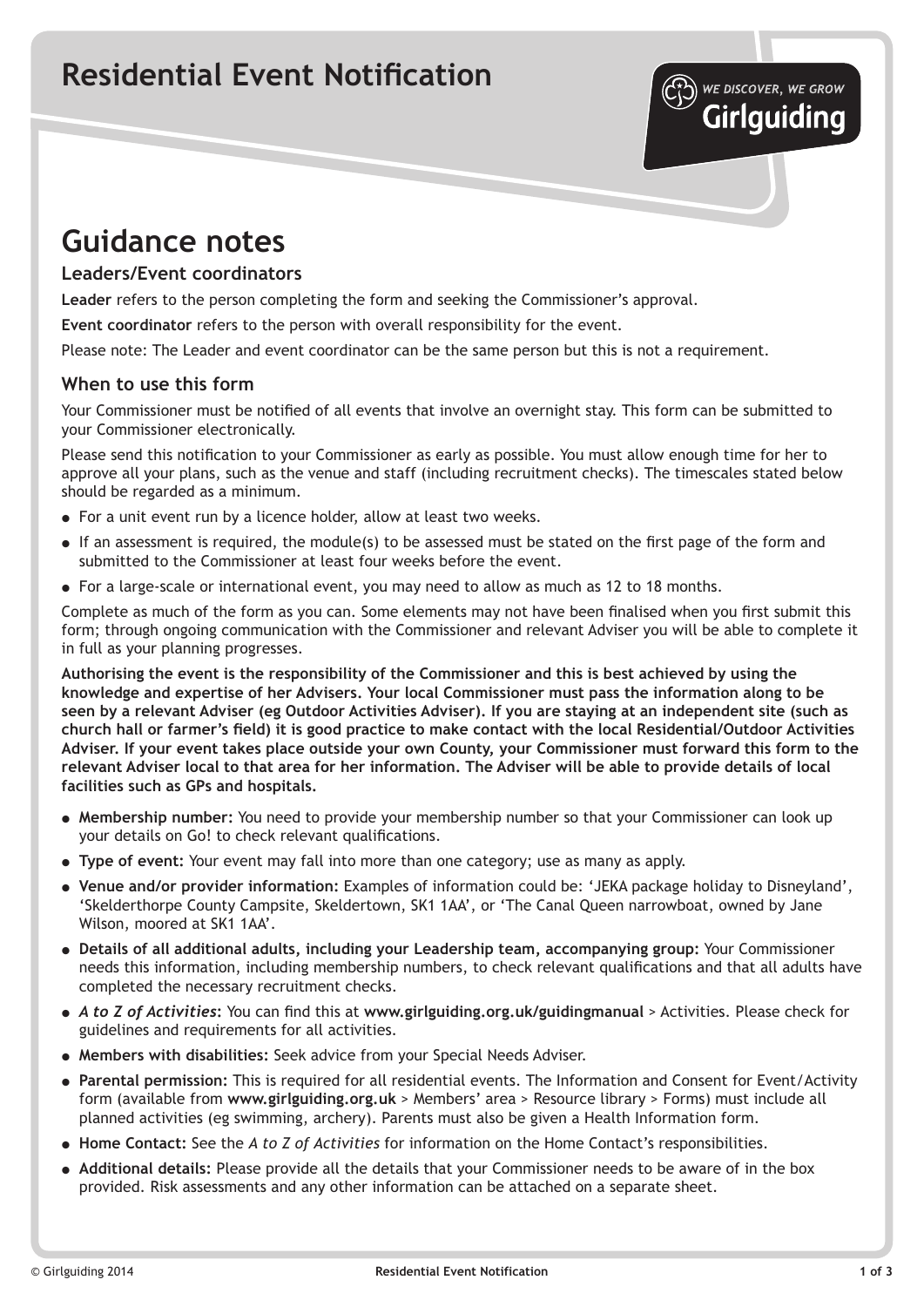## **Residential Event Notification**



## **Leaders/Event coordinators**

**Leader** refers to the person completing the form and seeking the Commissioner's approval.

**Event coordinator** refers to the person with overall responsibility for the event.

Please note: The Leader and event coordinator can be the same person but this is not a requirement.

## **When to use this form**

Your Commissioner must be notified of all events that involve an overnight stay. This form can be submitted to your Commissioner electronically.

Please send this notification to your Commissioner as early as possible. You must allow enough time for her to approve all your plans, such as the venue and staff (including recruitment checks). The timescales stated below should be regarded as a minimum.

- For a unit event run by a licence holder, allow at least two weeks.
- If an assessment is required, the module(s) to be assessed must be stated on the first page of the form and submitted to the Commissioner at least four weeks before the event.
- For a large-scale or international event, you may need to allow as much as 12 to 18 months.

Complete as much of the form as you can. Some elements may not have been finalised when you first submit this form; through ongoing communication with the Commissioner and relevant Adviser you will be able to complete it in full as your planning progresses.

**Authorising the event is the responsibility of the Commissioner and this is best achieved by using the knowledge and expertise of her Advisers. Your local Commissioner must pass the information along to be seen by a relevant Adviser (eg Outdoor Activities Adviser). If you are staying at an independent site (such as church hall or farmer's field) it is good practice to make contact with the local Residential/Outdoor Activities Adviser. If your event takes place outside your own County, your Commissioner must forward this form to the relevant Adviser local to that area for her information. The Adviser will be able to provide details of local facilities such as GPs and hospitals.**

- **Membership number:** You need to provide your membership number so that your Commissioner can look up your details on Go! to check relevant qualifications.
- **Type of event:** Your event may fall into more than one category; use as many as apply.
- **Venue and/or provider information:** Examples of information could be: 'JEKA package holiday to Disneyland', 'Skelderthorpe County Campsite, Skeldertown, SK1 1AA', or 'The Canal Queen narrowboat, owned by Jane Wilson, moored at SK1 1AA'.
- **Details of all additional adults, including your Leadership team, accompanying group:** Your Commissioner needs this information, including membership numbers, to check relevant qualifications and that all adults have completed the necessary recruitment checks.
- *A to Z of Activities***:** You can find this at **www.girlguiding.org.uk/guidingmanual** > Activities. Please check for guidelines and requirements for all activities.
- **Members with disabilities:** Seek advice from your Special Needs Adviser.
- **Parental permission:** This is required for all residential events. The Information and Consent for Event/Activity form (available from **www.girlguiding.org.uk** > Members' area > Resource library > Forms) must include all planned activities (eg swimming, archery). Parents must also be given a Health Information form.
- **Home Contact:** See the *A to Z of Activities* for information on the Home Contact's responsibilities.
- **Additional details:** Please provide all the details that your Commissioner needs to be aware of in the box provided. Risk assessments and any other information can be attached on a separate sheet.

WE DISCOVER, WE GROW **Girlguiding**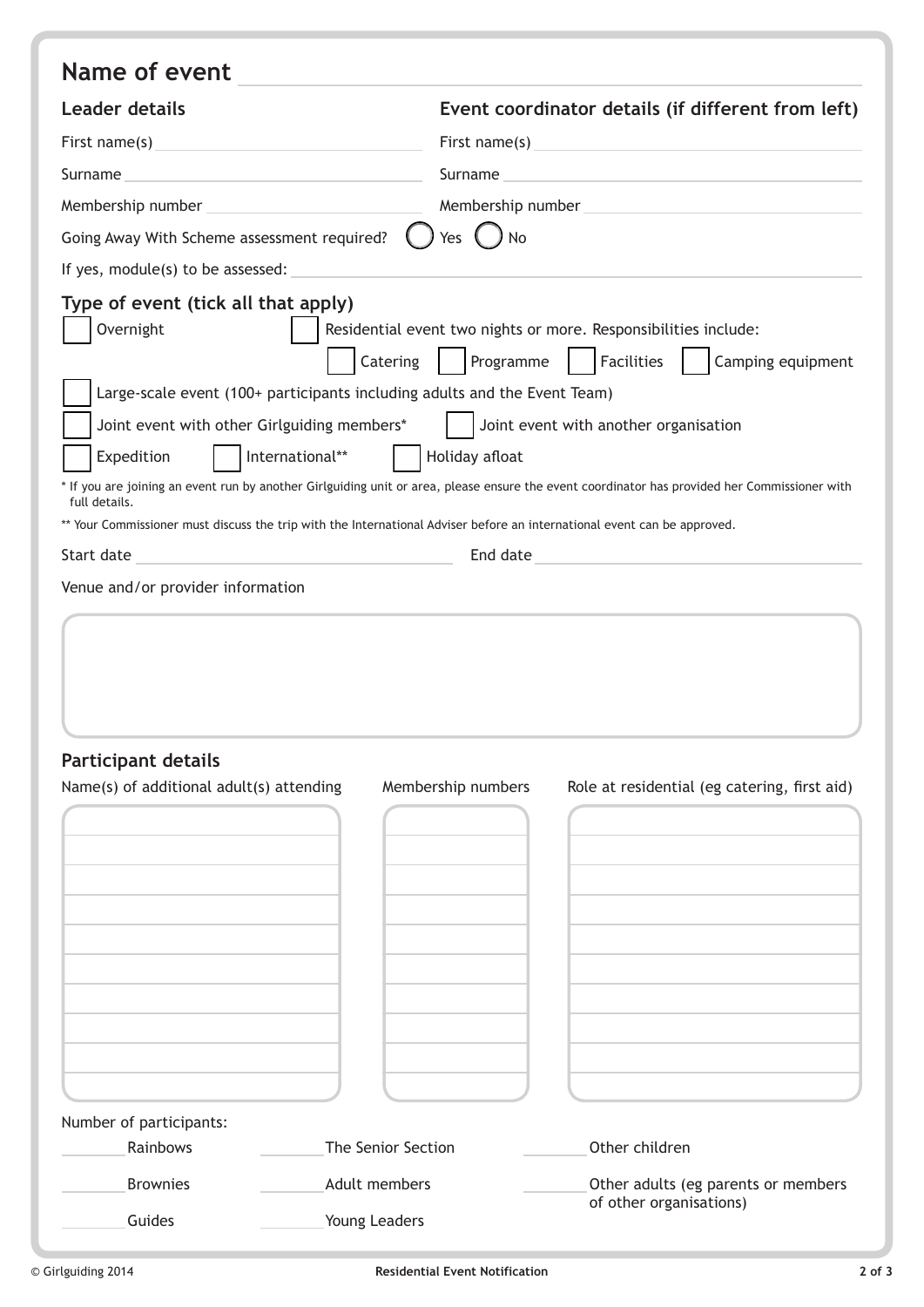| Name of event                                                                                                                                                                     |                                                                                                                                                                                             |                                                                                                                                                                                                                                                                                                                                                                                                                                      |
|-----------------------------------------------------------------------------------------------------------------------------------------------------------------------------------|---------------------------------------------------------------------------------------------------------------------------------------------------------------------------------------------|--------------------------------------------------------------------------------------------------------------------------------------------------------------------------------------------------------------------------------------------------------------------------------------------------------------------------------------------------------------------------------------------------------------------------------------|
| <b>Leader details</b>                                                                                                                                                             |                                                                                                                                                                                             | Event coordinator details (if different from left)                                                                                                                                                                                                                                                                                                                                                                                   |
|                                                                                                                                                                                   |                                                                                                                                                                                             | First name(s) expression and the set of the set of the set of the set of the set of the set of the set of the set of the set of the set of the set of the set of the set of the set of the set of the set of the set of the se                                                                                                                                                                                                       |
|                                                                                                                                                                                   |                                                                                                                                                                                             | Surname experience and the series of the series of the series of the series of the series of the series of the                                                                                                                                                                                                                                                                                                                       |
|                                                                                                                                                                                   |                                                                                                                                                                                             | Membership number <b>Manual</b> Membership number                                                                                                                                                                                                                                                                                                                                                                                    |
| Going Away With Scheme assessment required?                                                                                                                                       | Yes $()$ No                                                                                                                                                                                 |                                                                                                                                                                                                                                                                                                                                                                                                                                      |
| If yes, module(s) to be assessed:                                                                                                                                                 |                                                                                                                                                                                             |                                                                                                                                                                                                                                                                                                                                                                                                                                      |
| Type of event (tick all that apply)<br>Overnight<br>Joint event with other Girlguiding members*<br>Expedition<br>full details.<br>Start date<br>Venue and/or provider information | Catering<br>Large-scale event (100+ participants including adults and the Event Team)<br>Holiday afloat<br>International**<br>End date<br><u> 1980 - Johann Barbara, martxa alemaniar a</u> | Residential event two nights or more. Responsibilities include:<br>Programme   Facilities<br>Camping equipment<br>Joint event with another organisation<br>* If you are joining an event run by another Girlguiding unit or area, please ensure the event coordinator has provided her Commissioner with<br>** Your Commissioner must discuss the trip with the International Adviser before an international event can be approved. |
| <b>Participant details</b><br>Name(s) of additional adult(s) attending                                                                                                            | Membership numbers                                                                                                                                                                          | Role at residential (eg catering, first aid)                                                                                                                                                                                                                                                                                                                                                                                         |
| Number of participants:                                                                                                                                                           |                                                                                                                                                                                             |                                                                                                                                                                                                                                                                                                                                                                                                                                      |
| Rainbows                                                                                                                                                                          | The Senior Section                                                                                                                                                                          | Other children                                                                                                                                                                                                                                                                                                                                                                                                                       |
| <b>Brownies</b>                                                                                                                                                                   | Adult members                                                                                                                                                                               | Other adults (eg parents or members                                                                                                                                                                                                                                                                                                                                                                                                  |
| Guides                                                                                                                                                                            | Young Leaders                                                                                                                                                                               | of other organisations)                                                                                                                                                                                                                                                                                                                                                                                                              |